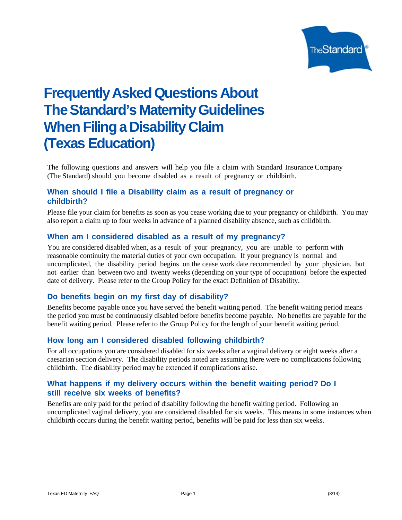

# **Frequently Asked Questions About The Standard's Maternity Guidelines When Filing a Disability Claim (Texas Education)**

The following questions and answers will help you file a claim with Standard Insurance Company (The Standard) should you become disabled as a result of pregnancy orchildbirth.

# **When should I file a Disability claim as a result of pregnancy or childbirth?**

Please file your claim for benefits as soon as you cease working due to your pregnancy or childbirth. You may also report a claim up to four weeks in advance of a planned disability absence, such as childbirth.

### **When am I considered disabled as a result of my pregnancy?**

You are considered disabled when, as a result of your pregnancy, you are unable to perform with reasonable continuity the material duties of your own occupation. If your pregnancy is normal and uncomplicated, the disability period begins on the cease work date recommended by your physician, but not earlier than between two and twenty weeks (depending on your type of occupation) before the expected date of delivery. Please refer to the Group Policy for the exact Definition of Disability.

### **Do benefits begin on my first day of disability?**

Benefits become payable once you have served the benefit waiting period. The benefit waiting period means the period you must be continuously disabled before benefits become payable. No benefits are payable for the benefit waiting period. Please refer to the Group Policy for the length of your benefit waiting period.

### **How long am I considered disabled following childbirth?**

For all occupations you are considered disabled for six weeks after a vaginal delivery or eight weeks after a caesarian section delivery. The disability periods noted are assuming there were no complications following childbirth. The disability period may be extended if complications arise.

# **What happens if my delivery occurs within the benefit waiting period? Do I still receive six weeks of benefits?**

Benefits are only paid for the period of disability following the benefit waiting period. Following an uncomplicated vaginal delivery, you are considered disabled for six weeks. This means in some instances when childbirth occurs during the benefit waiting period, benefits will be paid for less than six weeks.